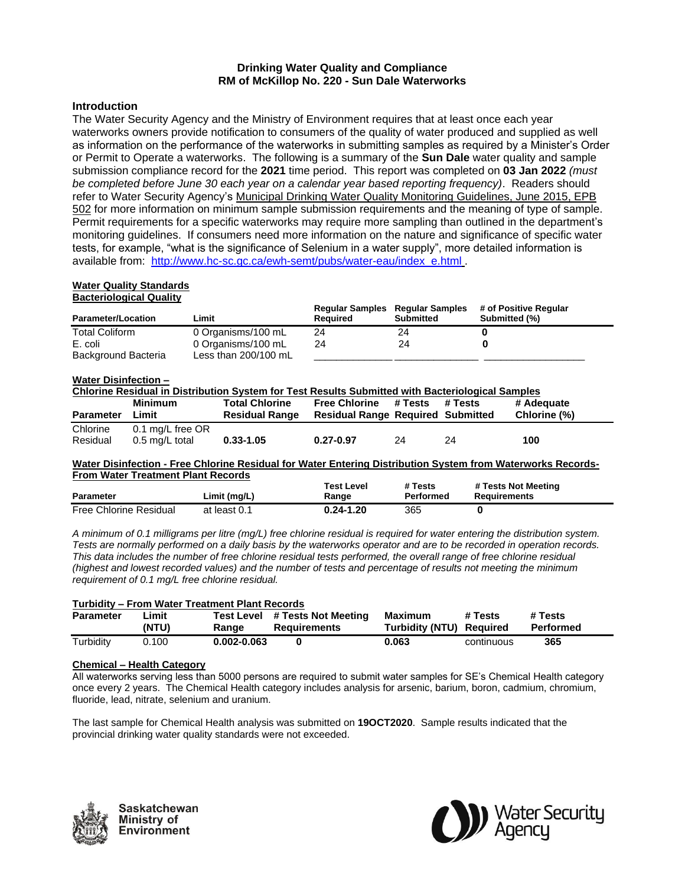# **Drinking Water Quality and Compliance RM of McKillop No. 220 - Sun Dale Waterworks**

# **Introduction**

The Water Security Agency and the Ministry of Environment requires that at least once each year waterworks owners provide notification to consumers of the quality of water produced and supplied as well as information on the performance of the waterworks in submitting samples as required by a Minister's Order or Permit to Operate a waterworks. The following is a summary of the **Sun Dale** water quality and sample submission compliance record for the **2021** time period. This report was completed on **03 Jan 2022** *(must be completed before June 30 each year on a calendar year based reporting frequency)*. Readers should refer to Water Security Agency's Municipal Drinking Water Quality Monitoring Guidelines, June 2015, EPB 502 for more information on minimum sample submission requirements and the meaning of type of sample. Permit requirements for a specific waterworks may require more sampling than outlined in the department's monitoring guidelines. If consumers need more information on the nature and significance of specific water tests, for example, "what is the significance of Selenium in a water supply", more detailed information is available from: [http://www.hc-sc.gc.ca/ewh-semt/pubs/water-eau/index\\_e.html](http://www.hc-sc.gc.ca/ewh-semt/pubs/water-eau/index_e.html) .

#### **Water Quality Standards Bacteriological Quality**

| <b>Parameter/Location</b> | Limit                | <b>Regular Samples Regular Samples</b><br><b>Required</b> | <b>Submitted</b> | # of Positive Regular<br>Submitted (%) |
|---------------------------|----------------------|-----------------------------------------------------------|------------------|----------------------------------------|
| <b>Total Coliform</b>     | 0 Organisms/100 mL   | 24                                                        | 24               |                                        |
| E. coli                   | 0 Organisms/100 mL   | 24                                                        | 24               |                                        |
| Background Bacteria       | Less than 200/100 mL |                                                           |                  |                                        |

### **Water Disinfection –**

| Chlorine Residual in Distribution System for Test Results Submitted with Bacteriological Samples |                  |                       |                                          |         |         |              |
|--------------------------------------------------------------------------------------------------|------------------|-----------------------|------------------------------------------|---------|---------|--------------|
|                                                                                                  | Minimum          | <b>Total Chlorine</b> | <b>Free Chlorine</b>                     | # Tests | # Tests | # Adequate   |
| <b>Parameter</b>                                                                                 | Limit            | <b>Residual Range</b> | <b>Residual Range Required Submitted</b> |         |         | Chlorine (%) |
| Chlorine                                                                                         | 0.1 mg/L free OR |                       |                                          |         |         |              |
| Residual                                                                                         | 0.5 mg/L total   | $0.33 - 1.05$         | $0.27 - 0.97$                            | 24      | 24      | 100          |

#### **Water Disinfection - Free Chlorine Residual for Water Entering Distribution System from Waterworks Records-From Water Treatment Plant Records**

| <b>Parameter</b>              | Limit (mg/L) | Test Level<br>Range | # Tests<br>Performed | # Tests Not Meeting<br>Requirements |
|-------------------------------|--------------|---------------------|----------------------|-------------------------------------|
|                               |              |                     |                      |                                     |
| <b>Free Chlorine Residual</b> | at least 0.1 | $0.24 - 1.20$       | 365                  |                                     |

*A minimum of 0.1 milligrams per litre (mg/L) free chlorine residual is required for water entering the distribution system. Tests are normally performed on a daily basis by the waterworks operator and are to be recorded in operation records. This data includes the number of free chlorine residual tests performed, the overall range of free chlorine residual (highest and lowest recorded values) and the number of tests and percentage of results not meeting the minimum requirement of 0.1 mg/L free chlorine residual.*

| <b>Turbidity - From Water Treatment Plant Records</b> |                |                     |                                            |                                     |            |                      |
|-------------------------------------------------------|----------------|---------------------|--------------------------------------------|-------------------------------------|------------|----------------------|
| <b>Parameter</b>                                      | .imit<br>(NTU) | Test Level<br>Ranɑe | # Tests Not Meeting<br><b>Requirements</b> | Maximum<br>Turbidity (NTU) Required | # Tests    | # Tests<br>Performed |
| Turbidity                                             | 00.د           | 0.002-0.063         |                                            | 0.063                               | continuous | 365                  |

# **Chemical – Health Category**

All waterworks serving less than 5000 persons are required to submit water samples for SE's Chemical Health category once every 2 years. The Chemical Health category includes analysis for arsenic, barium, boron, cadmium, chromium, fluoride, lead, nitrate, selenium and uranium.

The last sample for Chemical Health analysis was submitted on **19OCT2020**. Sample results indicated that the provincial drinking water quality standards were not exceeded.



Saskatchewan Ministry of Environment